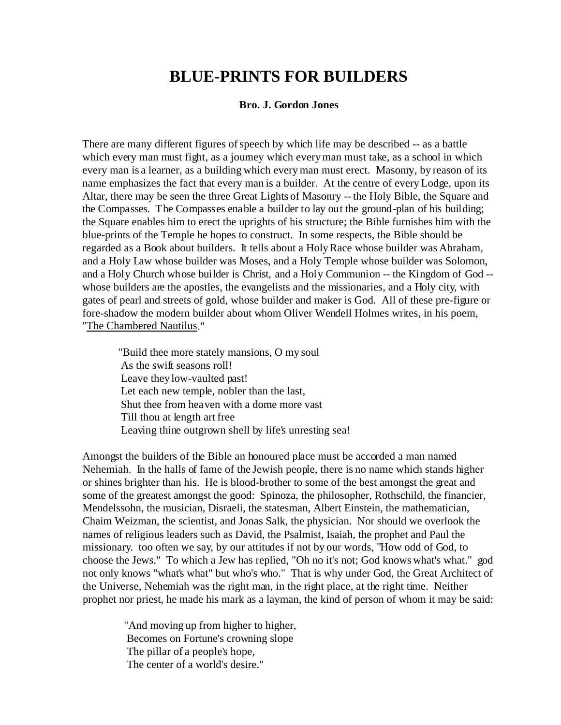## **BLUE-PRINTS FOR BUILDERS**

## **Bro. J. Gordon Jones**

There are many different figures of speech by which life may be described -- as a battle which every man must fight, as a journey which every man must take, as a school in which every man is a learner, as a building which every man must erect. Masonry, by reason of its name emphasizes the fact that every man is a builder. At the centre of every Lodge, upon its Altar, there may be seen the three Great Lights of Masonry -- the Holy Bible, the Square and the Compasses. The Compasses enable a builder to lay out the ground-plan of his building; the Square enables him to erect the uprights of his structure; the Bible furnishes him with the blue-prints of the Temple he hopes to construct. In some respects, the Bible should be regarded as a Book about builders. It tells about a Holy Race whose builder was Abraham, and a Holy Law whose builder was Moses, and a Holy Temple whose builder was Solomon, and a Holy Church whose builder is Christ, and a Holy Communion -- the Kingdom of God - whose builders are the apostles, the evangelists and the missionaries, and a Holy city, with gates of pearl and streets of gold, whose builder and maker is God. All of these pre-figure or fore-shadow the modern builder about whom Oliver Wendell Holmes writes, in his poem, "The Chambered Nautilus."

 "Build thee more stately mansions, O my soul As the swift seasons roll! Leave they low-vaulted past! Let each new temple, nobler than the last, Shut thee from heaven with a dome more vast Till thou at length art free Leaving thine outgrown shell by life's unresting sea!

Amongst the builders of the Bible an honoured place must be accorded a man named Nehemiah. In the halls of fame of the Jewish people, there is no name which stands higher or shines brighter than his. He is blood-brother to some of the best amongst the great and some of the greatest amongst the good: Spinoza, the philosopher, Rothschild, the financier, Mendelssohn, the musician, Disraeli, the statesman, Albert Einstein, the mathematician, Chaim Weizman, the scientist, and Jonas Salk, the physician. Nor should we overlook the names of religious leaders such as David, the Psalmist, Isaiah, the prophet and Paul the missionary. too often we say, by our attitudes if not by our words, "How odd of God, to choose the Jews." To which a Jew has replied, "Oh no it's not; God knows what's what." god not only knows "what's what" but who's who." That is why under God, the Great Architect of the Universe, Nehemiah was the right man, in the right place, at the right time. Neither prophet nor priest, he made his mark as a layman, the kind of person of whom it may be said:

 "And moving up from higher to higher, Becomes on Fortune's crowning slope The pillar of a people's hope, The center of a world's desire."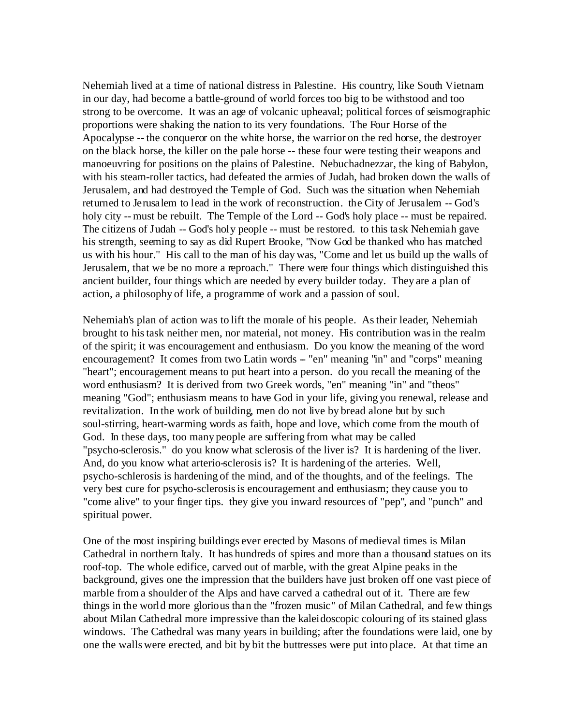Nehemiah lived at a time of national distress in Palestine. His country, like South Vietnam in our day, had become a battle-ground of world forces too big to be withstood and too strong to be overcome. It was an age of volcanic upheaval; political forces of seismographic proportions were shaking the nation to its very foundations. The Four Horse of the Apocalypse -- the conqueror on the white horse, the warrior on the red horse, the destroyer on the black horse, the killer on the pale horse -- these four were testing their weapons and manoeuvring for positions on the plains of Palestine. Nebuchadnezzar, the king of Babylon, with his steam-roller tactics, had defeated the armies of Judah, had broken down the walls of Jerusalem, and had destroyed the Temple of God. Such was the situation when Nehemiah returned to Jerusalem to lead in the work of reconstruction. the City of Jerusalem -- God's holy city -- must be rebuilt. The Temple of the Lord -- God's holy place -- must be repaired. The citizens of Judah -- God's holy people -- must be restored. to this task Nehemiah gave his strength, seeming to say as did Rupert Brooke, "Now God be thanked who has matched us with his hour." His call to the man of his day was, "Come and let us build up the walls of Jerusalem, that we be no more a reproach." There were four things which distinguished this ancient builder, four things which are needed by every builder today. They are a plan of action, a philosophy of life, a programme of work and a passion of soul.

Nehemiah's plan of action was to lift the morale of his people. As their leader, Nehemiah brought to his task neither men, nor material, not money. His contribution was in the realm of the spirit; it was encouragement and enthusiasm. Do you know the meaning of the word encouragement? It comes from two Latin words – "en" meaning "in" and "corps" meaning "heart"; encouragement means to put heart into a person. do you recall the meaning of the word enthusiasm? It is derived from two Greek words, "en" meaning "in" and "theos" meaning "God"; enthusiasm means to have God in your life, giving you renewal, release and revitalization. In the work of building, men do not live by bread alone but by such soul-stirring, heart-warming words as faith, hope and love, which come from the mouth of God. In these days, too many people are suffering from what may be called "psycho-sclerosis." do you know what sclerosis of the liver is? It is hardening of the liver. And, do you know what arterio-sclerosis is? It is hardening of the arteries. Well, psycho-schlerosis is hardening of the mind, and of the thoughts, and of the feelings. The very best cure for psycho-sclerosis is encouragement and enthusiasm; they cause you to "come alive" to your finger tips. they give you inward resources of "pep", and "punch" and spiritual power.

One of the most inspiring buildings ever erected by Masons of medieval times is Milan Cathedral in northern Italy. It has hundreds of spires and more than a thousand statues on its roof-top. The whole edifice, carved out of marble, with the great Alpine peaks in the background, gives one the impression that the builders have just broken off one vast piece of marble from a shoulder of the Alps and have carved a cathedral out of it. There are few things in the world more glorious than the "frozen music" of Milan Cathedral, and few things about Milan Cathedral more impressive than the kaleidoscopic colouring of its stained glass windows. The Cathedral was many years in building; after the foundations were laid, one by one the walls were erected, and bit by bit the buttresses were put into place. At that time an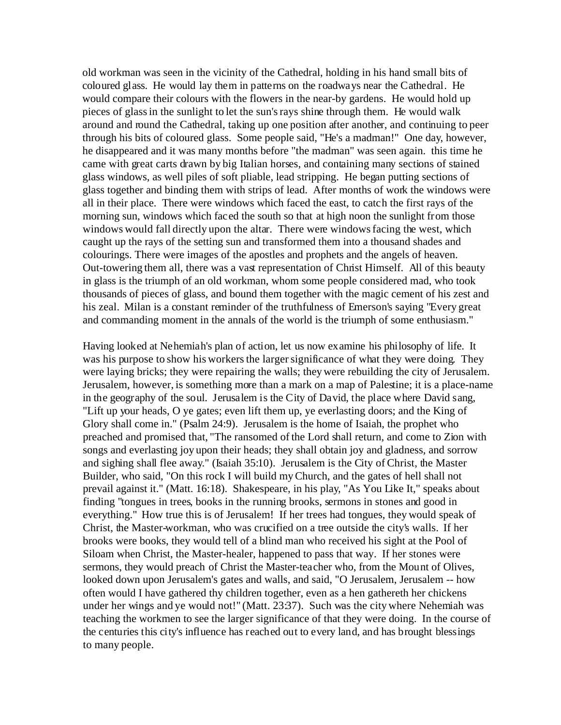old workman was seen in the vicinity of the Cathedral, holding in his hand small bits of coloured glass. He would lay them in patterns on the roadways near the Cathedral. He would compare their colours with the flowers in the near-by gardens. He would hold up pieces of glass in the sunlight to let the sun's rays shine through them. He would walk around and round the Cathedral, taking up one position after another, and continuing to peer through his bits of coloured glass. Some people said, "He's a madman!" One day, however, he disappeared and it was many months before "the madman" was seen again. this time he came with great carts drawn by big Italian horses, and containing many sections of stained glass windows, as well piles of soft pliable, lead stripping. He began putting sections of glass together and binding them with strips of lead. After months of work the windows were all in their place. There were windows which faced the east, to catch the first rays of the morning sun, windows which faced the south so that at high noon the sunlight from those windows would fall directly upon the altar. There were windows facing the west, which caught up the rays of the setting sun and transformed them into a thousand shades and colourings. There were images of the apostles and prophets and the angels of heaven. Out-towering them all, there was a vast representation of Christ Himself. All of this beauty in glass is the triumph of an old workman, whom some people considered mad, who took thousands of pieces of glass, and bound them together with the magic cement of his zest and his zeal. Milan is a constant reminder of the truthfulness of Emerson's saying "Every great and commanding moment in the annals of the world is the triumph of some enthusiasm."

Having looked at Nehemiah's plan of action, let us now examine his philosophy of life. It was his purpose to show his workers the larger significance of what they were doing. They were laying bricks; they were repairing the walls; they were rebuilding the city of Jerusalem. Jerusalem, however, is something more than a mark on a map of Palestine; it is a place-name in the geography of the soul. Jerusalem is the City of David, the place where David sang, "Lift up your heads, O ye gates; even lift them up, ye everlasting doors; and the King of Glory shall come in." (Psalm 24:9). Jerusalem is the home of Isaiah, the prophet who preached and promised that, "The ransomed of the Lord shall return, and come to Zion with songs and everlasting joy upon their heads; they shall obtain joy and gladness, and sorrow and sighing shall flee away." (Isaiah 35:10). Jerusalem is the City of Christ, the Master Builder, who said, "On this rock I will build my Church, and the gates of hell shall not prevail against it." (Matt. 16:18). Shakespeare, in his play, "As You Like It," speaks about finding "tongues in trees, books in the running brooks, sermons in stones and good in everything." How true this is of Jerusalem! If her trees had tongues, they would speak of Christ, the Master-workman, who was crucified on a tree outside the city's walls. If her brooks were books, they would tell of a blind man who received his sight at the Pool of Siloam when Christ, the Master-healer, happened to pass that way. If her stones were sermons, they would preach of Christ the Master-teacher who, from the Mount of Olives, looked down upon Jerusalem's gates and walls, and said, "O Jerusalem, Jerusalem -- how often would I have gathered thy children together, even as a hen gathereth her chickens under her wings and ye would not!" (Matt. 23:37). Such was the city where Nehemiah was teaching the workmen to see the larger significance of that they were doing. In the course of the centuries this city's influence has reached out to every land, and has brought blessings to many people.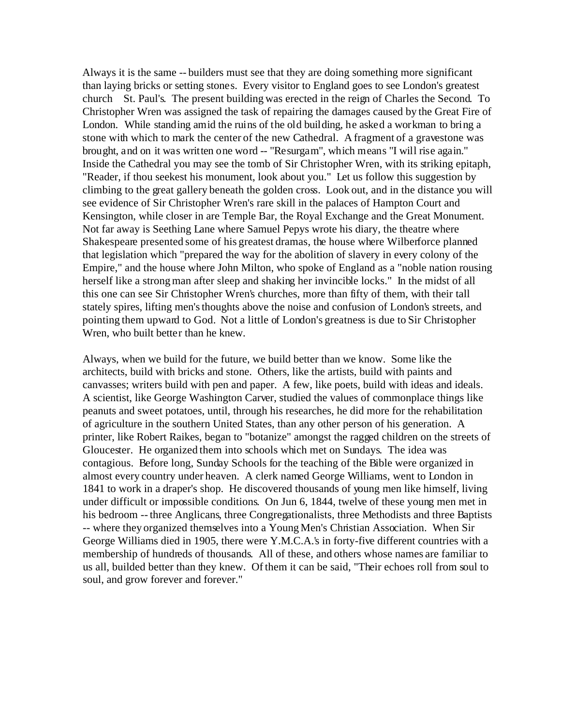Always it is the same -- builders must see that they are doing something more significant than laying bricks or setting stones. Every visitor to England goes to see London's greatest church St. Paul's. The present building was erected in the reign of Charles the Second. To Christopher Wren was assigned the task of repairing the damages caused by the Great Fire of London. While standing amid the ruins of the old building, he asked a workman to bring a stone with which to mark the center of the new Cathedral. A fragment of a gravestone was brought, and on it was written one word -- "Resurgam", which means "I will rise again." Inside the Cathedral you may see the tomb of Sir Christopher Wren, with its striking epitaph, "Reader, if thou seekest his monument, look about you." Let us follow this suggestion by climbing to the great gallery beneath the golden cross. Look out, and in the distance you will see evidence of Sir Christopher Wren's rare skill in the palaces of Hampton Court and Kensington, while closer in are Temple Bar, the Royal Exchange and the Great Monument. Not far away is Seething Lane where Samuel Pepys wrote his diary, the theatre where Shakespeare presented some of his greatest dramas, the house where Wilberforce planned that legislation which "prepared the way for the abolition of slavery in every colony of the Empire," and the house where John Milton, who spoke of England as a "noble nation rousing herself like a strong man after sleep and shaking her invincible locks." In the midst of all this one can see Sir Christopher Wren's churches, more than fifty of them, with their tall stately spires, lifting men's thoughts above the noise and confusion of London's streets, and pointing them upward to God. Not a little of London's greatness is due to Sir Christopher Wren, who built better than he knew.

Always, when we build for the future, we build better than we know. Some like the architects, build with bricks and stone. Others, like the artists, build with paints and canvasses; writers build with pen and paper. A few, like poets, build with ideas and ideals. A scientist, like George Washington Carver, studied the values of commonplace things like peanuts and sweet potatoes, until, through his researches, he did more for the rehabilitation of agriculture in the southern United States, than any other person of his generation. A printer, like Robert Raikes, began to "botanize" amongst the ragged children on the streets of Gloucester. He organized them into schools which met on Sundays. The idea was contagious. Before long, Sunday Schools for the teaching of the Bible were organized in almost every country under heaven. A clerk named George Williams, went to London in 1841 to work in a draper's shop. He discovered thousands of young men like himself, living under difficult or impossible conditions. On Jun 6, 1844, twelve of these young men met in his bedroom -- three Anglicans, three Congregationalists, three Methodists and three Baptists -- where they organized themselves into a Young Men's Christian Association. When Sir George Williams died in 1905, there were Y.M.C.A.'s in forty-five different countries with a membership of hundreds of thousands. All of these, and others whose names are familiar to us all, builded better than they knew. Of them it can be said, "Their echoes roll from soul to soul, and grow forever and forever."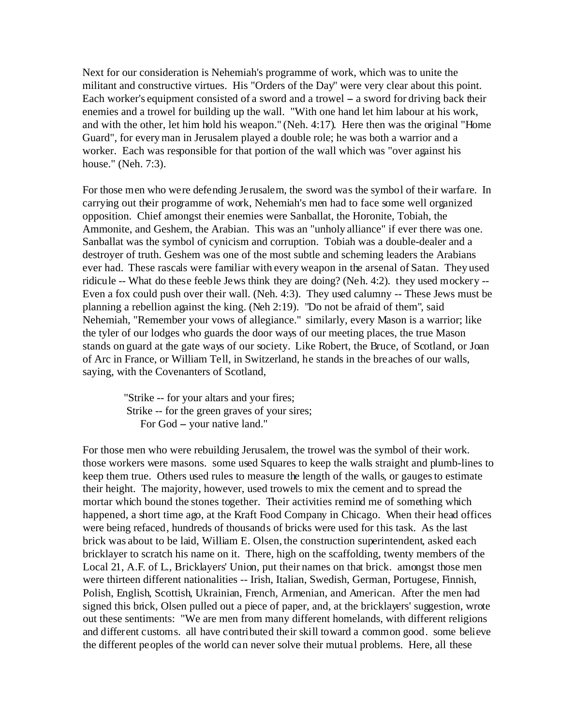Next for our consideration is Nehemiah's programme of work, which was to unite the militant and constructive virtues. His "Orders of the Day" were very clear about this point. Each worker's equipment consisted of a sword and a trowel  $-$  a sword for driving back their enemies and a trowel for building up the wall. "With one hand let him labour at his work, and with the other, let him hold his weapon." (Neh. 4:17). Here then was the original "Home Guard", for every man in Jerusalem played a double role; he was both a warrior and a worker. Each was responsible for that portion of the wall which was "over against his house." (Neh. 7:3).

For those men who were defending Jerusalem, the sword was the symbol of their warfare. In carrying out their programme of work, Nehemiah's men had to face some well organized opposition. Chief amongst their enemies were Sanballat, the Horonite, Tobiah, the Ammonite, and Geshem, the Arabian. This was an "unholy alliance" if ever there was one. Sanballat was the symbol of cynicism and corruption. Tobiah was a double-dealer and a destroyer of truth. Geshem was one of the most subtle and scheming leaders the Arabians ever had. These rascals were familiar with every weapon in the arsenal of Satan. They used ridicule -- What do these feeble Jews think they are doing? (Neh. 4:2). they used mockery -- Even a fox could push over their wall. (Neh. 4:3). They used calumny -- These Jews must be planning a rebellion against the king. (Neh 2:19). "Do not be afraid of them", said Nehemiah, "Remember your vows of allegiance." similarly, every Mason is a warrior; like the tyler of our lodges who guards the door ways of our meeting places, the true Mason stands on guard at the gate ways of our society. Like Robert, the Bruce, of Scotland, or Joan of Arc in France, or William Tell, in Switzerland, he stands in the breaches of our walls, saying, with the Covenanters of Scotland,

 "Strike -- for your altars and your fires; Strike -- for the green graves of your sires; For God – your native land."

For those men who were rebuilding Jerusalem, the trowel was the symbol of their work. those workers were masons. some used Squares to keep the walls straight and plumb-lines to keep them true. Others used rules to measure the length of the walls, or gauges to estimate their height. The majority, however, used trowels to mix the cement and to spread the mortar which bound the stones together. Their activities remind me of something which happened, a short time ago, at the Kraft Food Company in Chicago. When their head offices were being refaced, hundreds of thousands of bricks were used for this task. As the last brick was about to be laid, William E. Olsen, the construction superintendent, asked each bricklayer to scratch his name on it. There, high on the scaffolding, twenty members of the Local 21, A.F. of L., Bricklayers' Union, put their names on that brick. amongst those men were thirteen different nationalities -- Irish, Italian, Swedish, German, Portugese, Finnish, Polish, English, Scottish, Ukrainian, French, Armenian, and American. After the men had signed this brick, Olsen pulled out a piece of paper, and, at the bricklayers' suggestion, wrote out these sentiments: "We are men from many different homelands, with different religions and different customs. all have contributed their skill toward a common good. some believe the different peoples of the world can never solve their mutual problems. Here, all these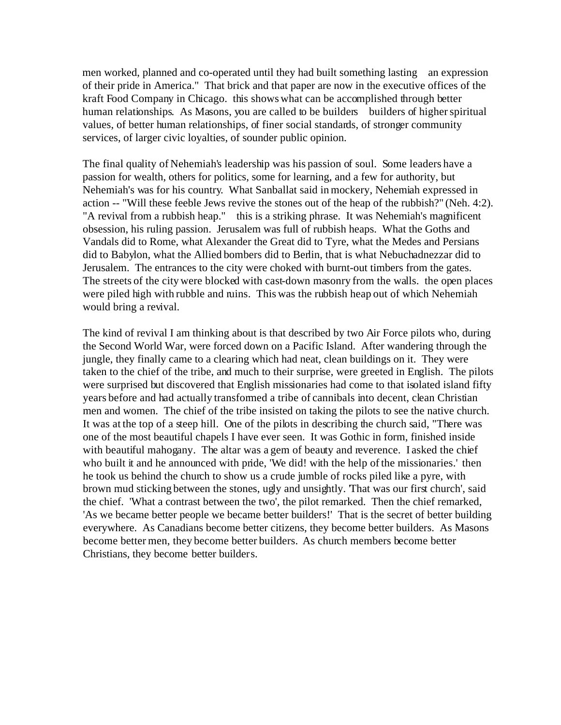men worked, planned and co-operated until they had built something lasting an expression of their pride in America." That brick and that paper are now in the executive offices of the kraft Food Company in Chicago. this shows what can be accomplished through better human relationships. As Masons, you are called to be builders builders of higher spiritual values, of better human relationships, of finer social standards, of stronger community services, of larger civic loyalties, of sounder public opinion.

The final quality of Nehemiah's leadership was his passion of soul. Some leaders have a passion for wealth, others for politics, some for learning, and a few for authority, but Nehemiah's was for his country. What Sanballat said in mockery, Nehemiah expressed in action -- "Will these feeble Jews revive the stones out of the heap of the rubbish?" (Neh. 4:2). "A revival from a rubbish heap." this is a striking phrase. It was Nehemiah's magnificent obsession, his ruling passion. Jerusalem was full of rubbish heaps. What the Goths and Vandals did to Rome, what Alexander the Great did to Tyre, what the Medes and Persians did to Babylon, what the Allied bombers did to Berlin, that is what Nebuchadnezzar did to Jerusalem. The entrances to the city were choked with burnt-out timbers from the gates. The streets of the city were blocked with cast-down masonry from the walls. the open places were piled high with rubble and ruins. This was the rubbish heap out of which Nehemiah would bring a revival.

The kind of revival I am thinking about is that described by two Air Force pilots who, during the Second World War, were forced down on a Pacific Island. After wandering through the jungle, they finally came to a clearing which had neat, clean buildings on it. They were taken to the chief of the tribe, and much to their surprise, were greeted in English. The pilots were surprised but discovered that English missionaries had come to that isolated island fifty years before and had actually transformed a tribe of cannibals into decent, clean Christian men and women. The chief of the tribe insisted on taking the pilots to see the native church. It was at the top of a steep hill. One of the pilots in describing the church said, "There was one of the most beautiful chapels I have ever seen. It was Gothic in form, finished inside with beautiful mahogany. The altar was a gem of beauty and reverence. I asked the chief who built it and he announced with pride, 'We did! with the help of the missionaries.' then he took us behind the church to show us a crude jumble of rocks piled like a pyre, with brown mud sticking between the stones, ugly and unsightly. 'That was our first church', said the chief. 'What a contrast between the two', the pilot remarked. Then the chief remarked, 'As we became better people we became better builders!' That is the secret of better building everywhere. As Canadians become better citizens, they become better builders. As Masons become better men, they become better builders. As church members become better Christians, they become better builders.